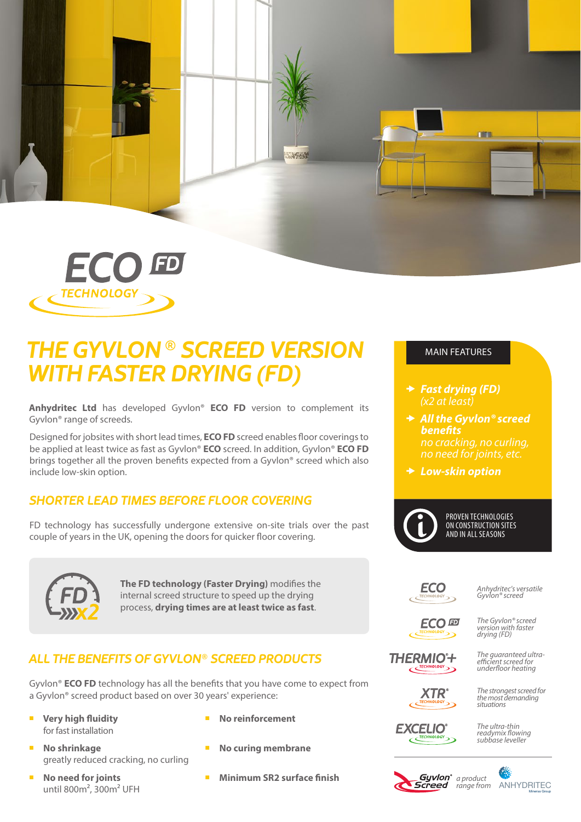

# *THE GYVLON ® SCREED VERSION*  **WITH FASTER DRYING (FD)**  $+$  *Fast drying (FD)*

**Anhydritec Ltd** has developed Gyvlon® **ECO FD** version to complement its Gyvlon® range of screeds.

Designed for jobsites with short lead times, **ECO FD** screed enables floor coverings to be applied at least twice as fast as Gyvlon® **ECO** screed. In addition, Gyvlon® **ECO FD** brings together all the proven benefits expected from a Gyvlon® screed which also include low-skin option.

#### *SHORTER LEAD TIMES BEFORE FLOOR COVERING*

FD technology has successfully undergone extensive on-site trials over the past couple of years in the UK, opening the doors for quicker floor covering.



**The FD technology (Faster Drying)** modifies the internal screed structure to speed up the drying process, **drying times are at least twice as fast**.

## *ALL THE BENEFITS OF GYVLON® SCREED PRODUCTS*

Gyvlon® **ECO FD** technology has all the benefits that you have come to expect from a Gyvlon® screed product based on over 30 years' experience:

- ¡ **Very high fluidity** for fast installation
- ¡ **No shrinkage** greatly reduced cracking, no curling
- ¡ **No need for joints** until 800m², 300m² UFH
- ¡ **No reinforcement**
- ¡ **No curing membrane**
- ¡ **Minimum SR2 surface finish**

#### MAIN FEATURES

面

- *(x2 at least)*
- **→ All the Gyvlon® screed** *benefits*
- *Low-skin option*



PROVEN TECHNOLOGIES ON CONSTRUCTION SITES AND IN ALL SEASONS

ECO

*Anhydritec's versatile Gyvlon® screed*

**ECO** 四

*The Gyvlon® screed version with faster drying (FD)*

**THERMIO<sup>+</sup>** 

*The guaranteed ultraefficient screed for underfloor heating*



*The strongest screed for the most demanding situations*

**EXCELIO®** 

*The ultra-thin readymix flowing subbase leveller*